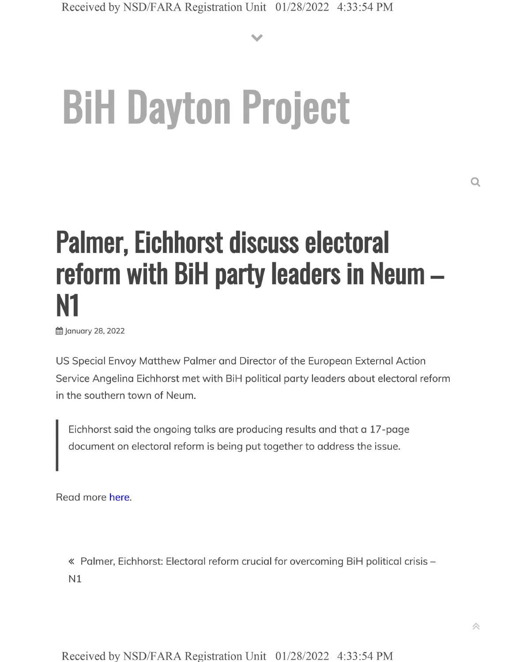**V**

## **BiH Dayton Project**

## **Palmer, Eichhorst discuss electoral reform with BiH party leaders in Neum - N1**

**的 January 28, 2022** 

US Special Envoy Matthew Palmer and Director of the European External Action Service Angelina Eichhorst met with BiH political party leaders about electoral reform in the southern town of Neum.

Eichhorst said the ongoing talks are producing results and that a 17-page document on electoral reform is being put together to address the issue.

Read more here.

« Palmer, Eichhorst: Electoral reform crucial for overcoming BiH political crisis - N1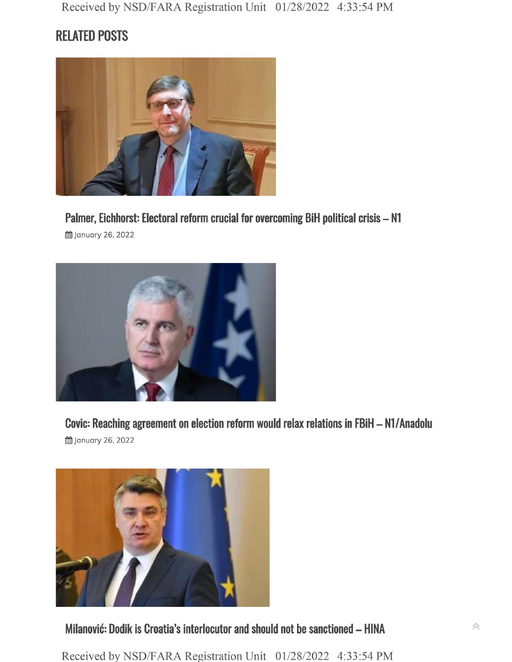## **RELATED POSTS**



**Palmer, Eichhorst: Electoral reform crucial for overcoming BiH political crisis - N1**

**的January 26, 2022** 



**Covic: Reaching agreement on election reform would relax relations in FBiH - Nl/Anadolu 的January 26, 2022** 



**Milanovic: Dodik is Croatia's interlocutor and should not be sanctioned - HINA**